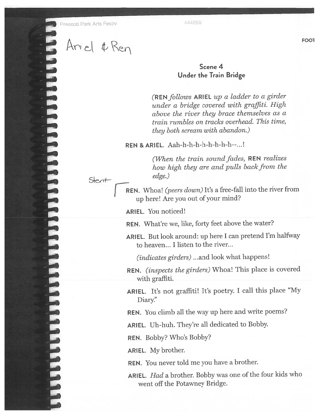Prescott Park Arts Festiv **1444869** 

 $\Lambda$  and  $\Lambda$  FOOl  $H\cap$ 

## Scene 4 Under the Train Bridge

(REN follows ARIEL up a ladder to a girder under <sup>a</sup> bridge covered with graffiti. High above the river they brace themselves as <sup>a</sup> train rumbles on tracks overhead. This time, they both scream with abandon.)

REN & ARIEL. Aah-h-h-h-h-h-h-h-h--...!

(When the train sound fades,  $REN$  realizes how high they are and pulls back from the edge.)

REN. Whoa! (peers down) It's a free-fall into the river from up here! Are you out of your mind?

ARIEL. You noticed!

REN. What're we, like, forty feet above the water?

ARIEL. But look around: up here <sup>I</sup> can pretend I'm halfway to heaven... I listen to the river...

(*indicates girders*) ...and look what happens!

REN. (inspects the <sup>g</sup>irders) Whoa! This <sup>p</sup>lace is covered with graffiti.

ARIEL. It's not graffiti! It's poetry. <sup>I</sup> call this <sup>p</sup>lace "My Diary."

REN. You climb all the way up here and write poems?

ARIEL. Uh-huh. They're all dedicated to Bobby.

REN. Bobby? Who's Bobby?

ARIEL. My brother.

REN. You never told me you have <sup>a</sup> brother.

ARIEL. Had a brother. Bobby was one of the four kids who went off the Potawney Bridge.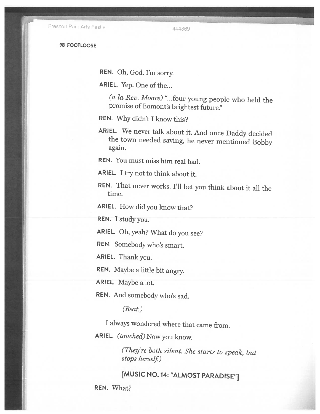Prescott Park Arts Festiv 444869

98 FOOTLOOSE

REN. Oh, God. I'm sorry.

ARIEL. Yep. One of the...

(a la Rev. Moore) ". . .four young people who held the promise of Bomont's brightest future'

REN. Why didn't I know this?

ARIEL. We never talk about it. And once Daddy decided the town needed saving, he never mentioned Bobby again.

REN. You must miss him real bad.

ARIEL. I try not to think about it.

REN. That never works. I'll bet you think about it all the time.

ARIEL. How did you know that?

REN. I study you.

ARIEL. Oh, yeah? What do you see?

REN. Somebody who's smart.

ARIEL. Thank you.

REN. Maybe <sup>a</sup> little bit angry.

ARIEL. Maybe a lot.

REN. And somebody who's sad.

(Beat.)

<sup>I</sup> always wondered where that came from.

ARIEL. (touched) Now you know.

(They're both silent. She starts to speak, but stops herself)

[MUSIC NO. 14: "ALMOST PARADISE"]

REN. What?<br>
All the state of the state of the state of the state of the state of the state of the state of the state of th<br>
All the state of the state of the state of the state of the state of the state of the state of the